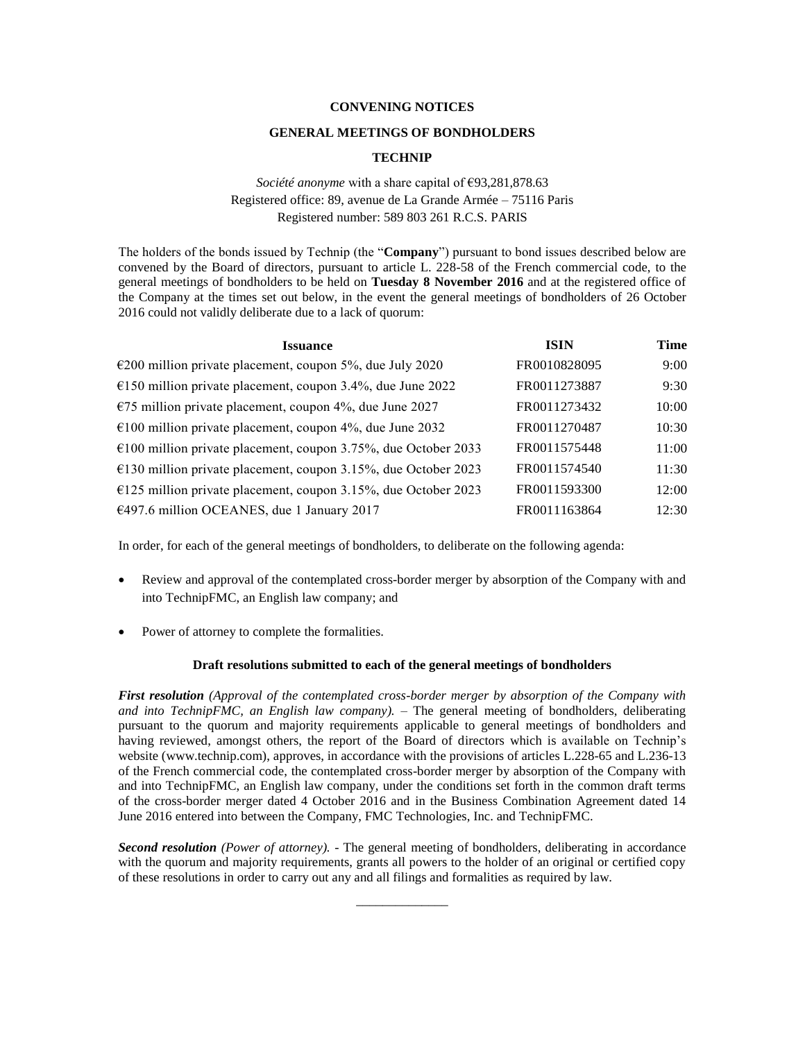## **CONVENING NOTICES**

#### **GENERAL MEETINGS OF BONDHOLDERS**

## **TECHNIP**

# *Société anonyme* with a share capital of €93,281,878.63 Registered office: 89, avenue de La Grande Armée – 75116 Paris Registered number: 589 803 261 R.C.S. PARIS

The holders of the bonds issued by Technip (the "**Company**") pursuant to bond issues described below are convened by the Board of directors, pursuant to article L. 228-58 of the French commercial code, to the general meetings of bondholders to be held on **Tuesday 8 November 2016** and at the registered office of the Company at the times set out below, in the event the general meetings of bondholders of 26 October 2016 could not validly deliberate due to a lack of quorum:

| <b>Issuance</b>                                                          | <b>ISIN</b>  | <b>Time</b> |
|--------------------------------------------------------------------------|--------------|-------------|
| $\epsilon$ 200 million private placement, coupon 5%, due July 2020       | FR0010828095 | 9:00        |
| €150 million private placement, coupon 3.4%, due June 2022               | FR0011273887 | 9:30        |
| €75 million private placement, coupon 4%, due June 2027                  | FR0011273432 | 10:00       |
| €100 million private placement, coupon 4%, due June 2032                 | FR0011270487 | 10:30       |
| $\epsilon$ 100 million private placement, coupon 3.75%, due October 2033 | FR0011575448 | 11:00       |
| €130 million private placement, coupon 3.15%, due October 2023           | FR0011574540 | 11:30       |
| €125 million private placement, coupon 3.15%, due October 2023           | FR0011593300 | 12:00       |
| €497.6 million OCEANES, due 1 January 2017                               | FR0011163864 | 12:30       |

In order, for each of the general meetings of bondholders, to deliberate on the following agenda:

- Review and approval of the contemplated cross-border merger by absorption of the Company with and into TechnipFMC, an English law company; and
- Power of attorney to complete the formalities.

## **Draft resolutions submitted to each of the general meetings of bondholders**

*First resolution (Approval of the contemplated cross-border merger by absorption of the Company with and into TechnipFMC, an English law company). –* The general meeting of bondholders, deliberating pursuant to the quorum and majority requirements applicable to general meetings of bondholders and having reviewed, amongst others, the report of the Board of directors which is available on Technip's website (www.technip.com), approves, in accordance with the provisions of articles L.228-65 and L.236-13 of the French commercial code, the contemplated cross-border merger by absorption of the Company with and into TechnipFMC, an English law company, under the conditions set forth in the common draft terms of the cross-border merger dated 4 October 2016 and in the Business Combination Agreement dated 14 June 2016 entered into between the Company, FMC Technologies, Inc. and TechnipFMC.

*Second resolution (Power of attorney).* - The general meeting of bondholders, deliberating in accordance with the quorum and majority requirements, grants all powers to the holder of an original or certified copy of these resolutions in order to carry out any and all filings and formalities as required by law.

\_\_\_\_\_\_\_\_\_\_\_\_\_\_